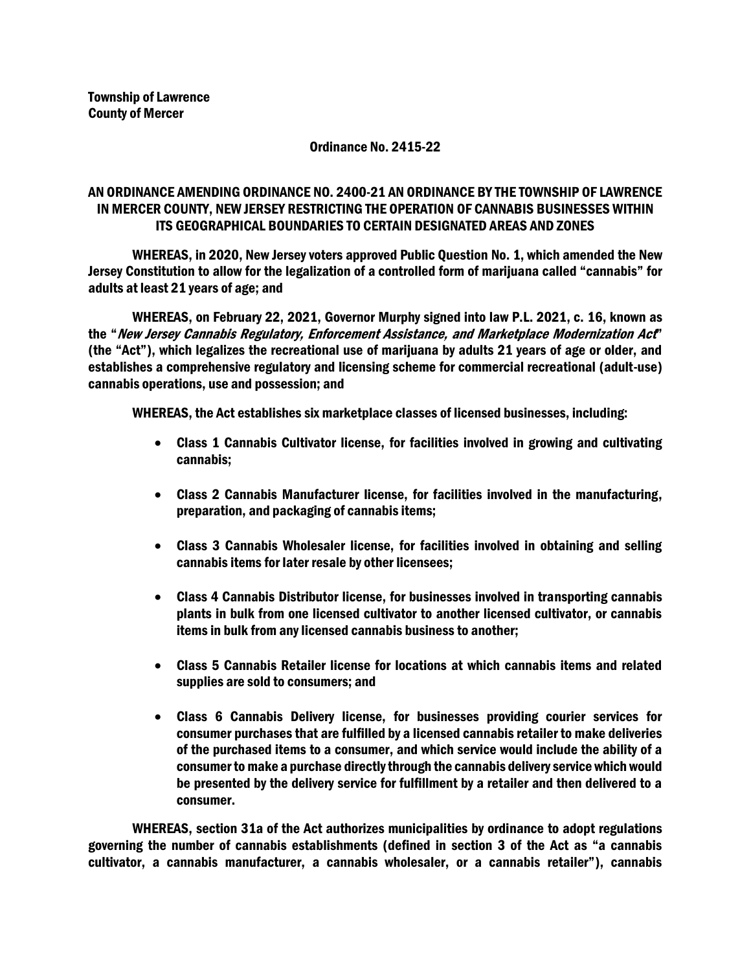## Ordinance No. 2415-22

## AN ORDINANCE AMENDING ORDINANCE NO. 2400-21 AN ORDINANCE BY THE TOWNSHIP OF LAWRENCE IN MERCER COUNTY, NEW JERSEY RESTRICTING THE OPERATION OF CANNABIS BUSINESSES WITHIN ITS GEOGRAPHICAL BOUNDARIES TO CERTAIN DESIGNATED AREAS AND ZONES

WHEREAS, in 2020, New Jersey voters approved Public Question No. 1, which amended the New Jersey Constitution to allow for the legalization of a controlled form of marijuana called "cannabis" for adults at least 21 years of age; and

WHEREAS, on February 22, 2021, Governor Murphy signed into law P.L. 2021, c. 16, known as the "New Jersey Cannabis Regulatory, Enforcement Assistance, and Marketplace Modernization Act" (the "Act"), which legalizes the recreational use of marijuana by adults 21 years of age or older, and establishes a comprehensive regulatory and licensing scheme for commercial recreational (adult-use) cannabis operations, use and possession; and

WHEREAS, the Act establishes six marketplace classes of licensed businesses, including:

- Class 1 Cannabis Cultivator license, for facilities involved in growing and cultivating cannabis;
- Class 2 Cannabis Manufacturer license, for facilities involved in the manufacturing, preparation, and packaging of cannabis items;
- Class 3 Cannabis Wholesaler license, for facilities involved in obtaining and selling cannabis items for later resale by other licensees;
- Class 4 Cannabis Distributor license, for businesses involved in transporting cannabis plants in bulk from one licensed cultivator to another licensed cultivator, or cannabis items in bulk from any licensed cannabis business to another;
- Class 5 Cannabis Retailer license for locations at which cannabis items and related supplies are sold to consumers; and
- Class 6 Cannabis Delivery license, for businesses providing courier services for consumer purchases that are fulfilled by a licensed cannabis retailer to make deliveries of the purchased items to a consumer, and which service would include the ability of a consumer to make a purchase directly through the cannabis delivery service which would be presented by the delivery service for fulfillment by a retailer and then delivered to a consumer.

WHEREAS, section 31a of the Act authorizes municipalities by ordinance to adopt regulations governing the number of cannabis establishments (defined in section 3 of the Act as "a cannabis cultivator, a cannabis manufacturer, a cannabis wholesaler, or a cannabis retailer"), cannabis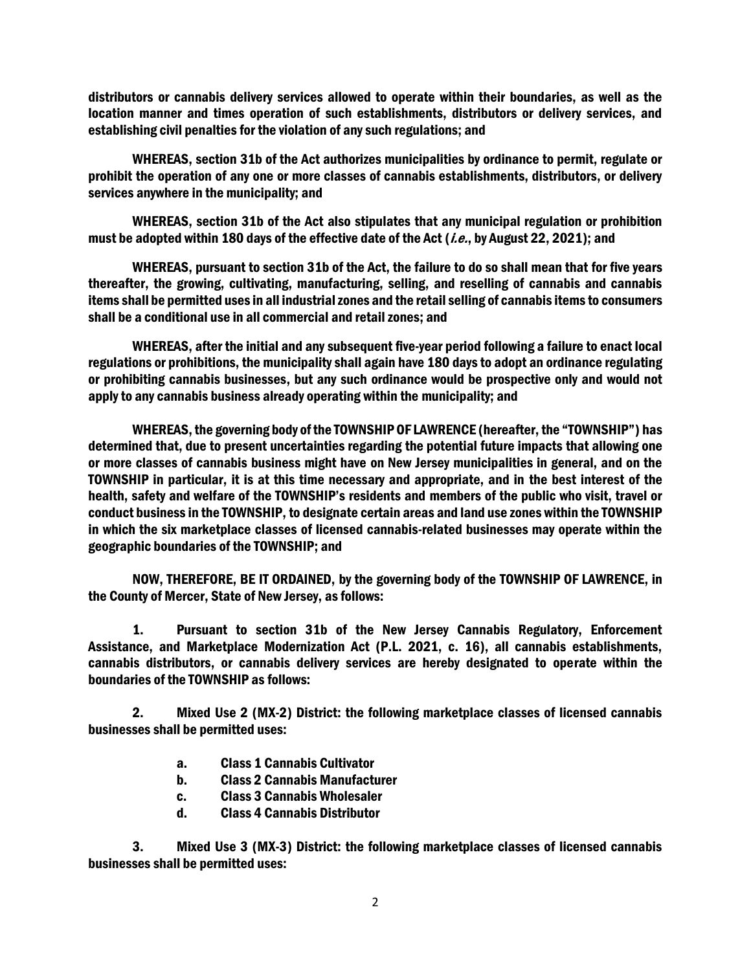distributors or cannabis delivery services allowed to operate within their boundaries, as well as the location manner and times operation of such establishments, distributors or delivery services, and establishing civil penalties for the violation of any such regulations; and

WHEREAS, section 31b of the Act authorizes municipalities by ordinance to permit, regulate or prohibit the operation of any one or more classes of cannabis establishments, distributors, or delivery services anywhere in the municipality; and

WHEREAS, section 31b of the Act also stipulates that any municipal regulation or prohibition must be adopted within 180 days of the effective date of the Act (*i.e.*, by August 22, 2021); and

WHEREAS, pursuant to section 31b of the Act, the failure to do so shall mean that for five years thereafter, the growing, cultivating, manufacturing, selling, and reselling of cannabis and cannabis items shall be permitted uses in all industrial zones and the retail selling of cannabis items to consumers shall be a conditional use in all commercial and retail zones; and

WHEREAS, after the initial and any subsequent five-year period following a failure to enact local regulations or prohibitions, the municipality shall again have 180 days to adopt an ordinance regulating or prohibiting cannabis businesses, but any such ordinance would be prospective only and would not apply to any cannabis business already operating within the municipality; and

WHEREAS, the governing body of the TOWNSHIP OF LAWRENCE (hereafter, the "TOWNSHIP") has determined that, due to present uncertainties regarding the potential future impacts that allowing one or more classes of cannabis business might have on New Jersey municipalities in general, and on the TOWNSHIP in particular, it is at this time necessary and appropriate, and in the best interest of the health, safety and welfare of the TOWNSHIP's residents and members of the public who visit, travel or conduct business in the TOWNSHIP, to designate certain areas and land use zones within the TOWNSHIP in which the six marketplace classes of licensed cannabis-related businesses may operate within the geographic boundaries of the TOWNSHIP; and

NOW, THEREFORE, BE IT ORDAINED, by the governing body of the TOWNSHIP OF LAWRENCE, in the County of Mercer, State of New Jersey, as follows:

1. Pursuant to section 31b of the New Jersey Cannabis Regulatory, Enforcement Assistance, and Marketplace Modernization Act (P.L. 2021, c. 16), all cannabis establishments, cannabis distributors, or cannabis delivery services are hereby designated to operate within the boundaries of the TOWNSHIP as follows:

2. Mixed Use 2 (MX-2) District: the following marketplace classes of licensed cannabis businesses shall be permitted uses:

- a. Class 1 Cannabis Cultivator
- b. Class 2 Cannabis Manufacturer
- c. Class 3 Cannabis Wholesaler
- d. Class 4 Cannabis Distributor

3. Mixed Use 3 (MX-3) District: the following marketplace classes of licensed cannabis businesses shall be permitted uses: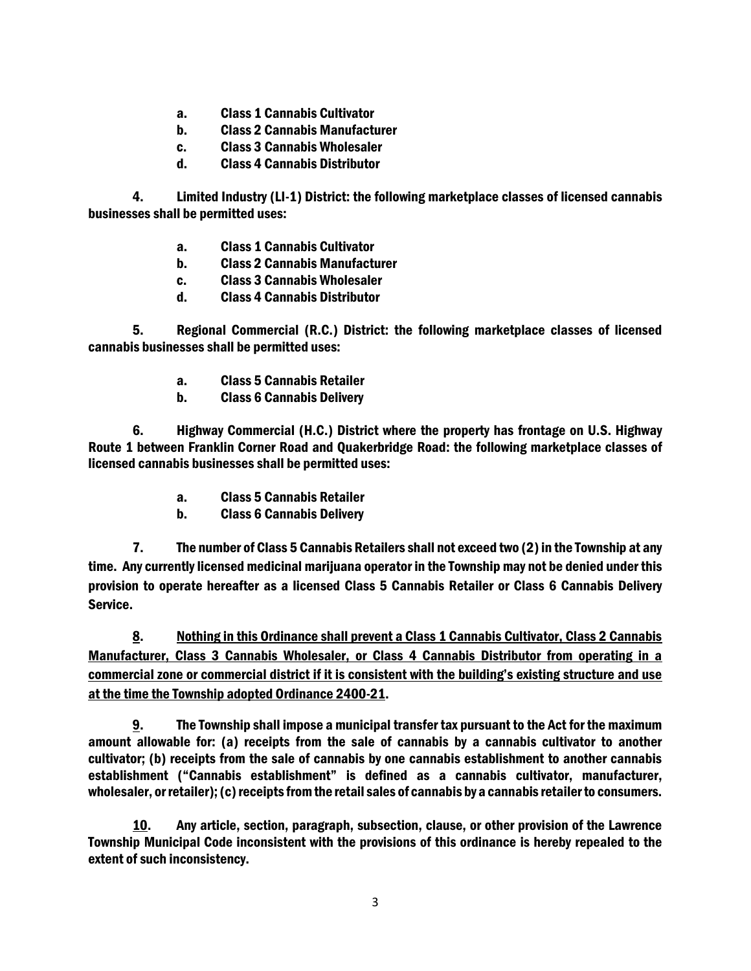- a. Class 1 Cannabis Cultivator
- b. Class 2 Cannabis Manufacturer
- c. Class 3 Cannabis Wholesaler
- d. Class 4 Cannabis Distributor

4. Limited Industry (LI-1) District: the following marketplace classes of licensed cannabis businesses shall be permitted uses:

- a. Class 1 Cannabis Cultivator
- b. Class 2 Cannabis Manufacturer
- c. Class 3 Cannabis Wholesaler
- d. Class 4 Cannabis Distributor

5. Regional Commercial (R.C.) District: the following marketplace classes of licensed cannabis businesses shall be permitted uses:

- a. Class 5 Cannabis Retailer
- b. Class 6 Cannabis Delivery

6. Highway Commercial (H.C.) District where the property has frontage on U.S. Highway Route 1 between Franklin Corner Road and Quakerbridge Road: the following marketplace classes of licensed cannabis businesses shall be permitted uses:

- a. Class 5 Cannabis Retailer
- b. Class 6 Cannabis Delivery

7. The number of Class 5 Cannabis Retailers shall not exceed two (2) in the Township at any time. Any currently licensed medicinal marijuana operator in the Township may not be denied under this provision to operate hereafter as a licensed Class 5 Cannabis Retailer or Class 6 Cannabis Delivery Service.

8. Nothing in this Ordinance shall prevent a Class 1 Cannabis Cultivator, Class 2 Cannabis Manufacturer, Class 3 Cannabis Wholesaler, or Class 4 Cannabis Distributor from operating in a commercial zone or commercial district if it is consistent with the building's existing structure and use at the time the Township adopted Ordinance 2400-21.

9. The Township shall impose a municipal transfer tax pursuant to the Act for the maximum amount allowable for: (a) receipts from the sale of cannabis by a cannabis cultivator to another cultivator; (b) receipts from the sale of cannabis by one cannabis establishment to another cannabis establishment ("Cannabis establishment" is defined as a cannabis cultivator, manufacturer, wholesaler, or retailer); (c) receipts from the retail sales of cannabis by a cannabis retailer to consumers.

10. Any article, section, paragraph, subsection, clause, or other provision of the Lawrence Township Municipal Code inconsistent with the provisions of this ordinance is hereby repealed to the extent of such inconsistency.